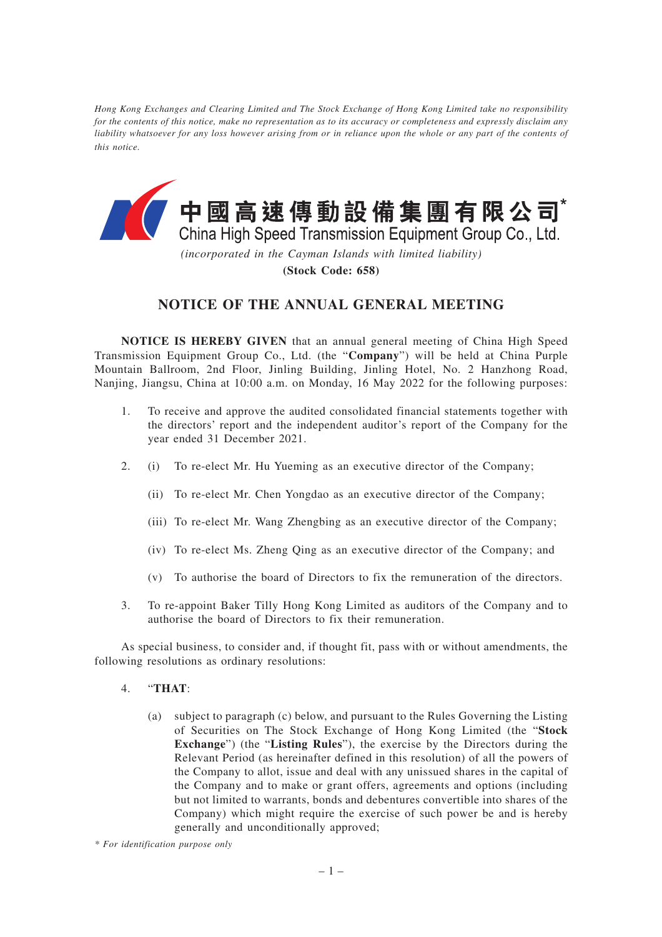*Hong Kong Exchanges and Clearing Limited and The Stock Exchange of Hong Kong Limited take no responsibility for the contents of this notice, make no representation as to its accuracy or completeness and expressly disclaim any liability whatsoever for any loss however arising from or in reliance upon the whole or any part of the contents of this notice.*



*(incorporated in the Cayman Islands with limited liability)* **(Stock Code: 658)**

## **NOTICE OF THE ANNUAL GENERAL MEETING**

**NOTICE IS HEREBY GIVEN** that an annual general meeting of China High Speed Transmission Equipment Group Co., Ltd. (the "**Company**") will be held at China Purple Mountain Ballroom, 2nd Floor, Jinling Building, Jinling Hotel, No. 2 Hanzhong Road, Nanjing, Jiangsu, China at 10:00 a.m. on Monday, 16 May 2022 for the following purposes:

- 1. To receive and approve the audited consolidated financial statements together with the directors' report and the independent auditor's report of the Company for the year ended 31 December 2021.
- 2. (i) To re-elect Mr. Hu Yueming as an executive director of the Company;
	- (ii) To re-elect Mr. Chen Yongdao as an executive director of the Company;
	- (iii) To re-elect Mr. Wang Zhengbing as an executive director of the Company;
	- (iv) To re-elect Ms. Zheng Qing as an executive director of the Company; and
	- (v) To authorise the board of Directors to fix the remuneration of the directors.
- 3. To re-appoint Baker Tilly Hong Kong Limited as auditors of the Company and to authorise the board of Directors to fix their remuneration.

As special business, to consider and, if thought fit, pass with or without amendments, the following resolutions as ordinary resolutions:

- 4. "**THAT**:
	- (a) subject to paragraph (c) below, and pursuant to the Rules Governing the Listing of Securities on The Stock Exchange of Hong Kong Limited (the "**Stock Exchange**") (the "**Listing Rules**"), the exercise by the Directors during the Relevant Period (as hereinafter defined in this resolution) of all the powers of the Company to allot, issue and deal with any unissued shares in the capital of the Company and to make or grant offers, agreements and options (including but not limited to warrants, bonds and debentures convertible into shares of the Company) which might require the exercise of such power be and is hereby generally and unconditionally approved;

*<sup>\*</sup> For identification purpose only*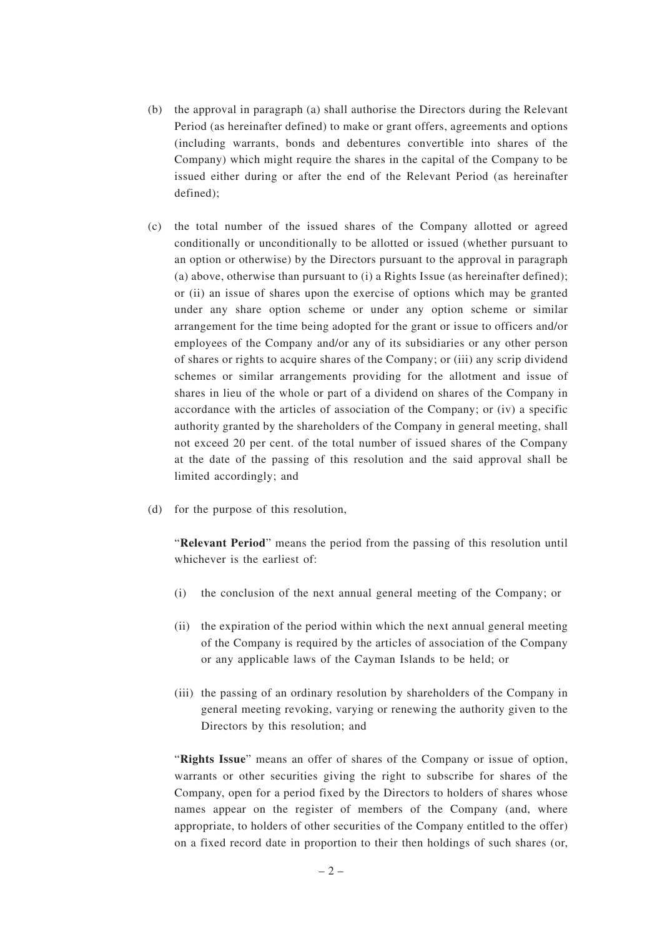- (b) the approval in paragraph (a) shall authorise the Directors during the Relevant Period (as hereinafter defined) to make or grant offers, agreements and options (including warrants, bonds and debentures convertible into shares of the Company) which might require the shares in the capital of the Company to be issued either during or after the end of the Relevant Period (as hereinafter defined);
- (c) the total number of the issued shares of the Company allotted or agreed conditionally or unconditionally to be allotted or issued (whether pursuant to an option or otherwise) by the Directors pursuant to the approval in paragraph (a) above, otherwise than pursuant to (i) a Rights Issue (as hereinafter defined); or (ii) an issue of shares upon the exercise of options which may be granted under any share option scheme or under any option scheme or similar arrangement for the time being adopted for the grant or issue to officers and/or employees of the Company and/or any of its subsidiaries or any other person of shares or rights to acquire shares of the Company; or (iii) any scrip dividend schemes or similar arrangements providing for the allotment and issue of shares in lieu of the whole or part of a dividend on shares of the Company in accordance with the articles of association of the Company; or (iv) a specific authority granted by the shareholders of the Company in general meeting, shall not exceed 20 per cent. of the total number of issued shares of the Company at the date of the passing of this resolution and the said approval shall be limited accordingly; and
- (d) for the purpose of this resolution,

"**Relevant Period**" means the period from the passing of this resolution until whichever is the earliest of:

- (i) the conclusion of the next annual general meeting of the Company; or
- (ii) the expiration of the period within which the next annual general meeting of the Company is required by the articles of association of the Company or any applicable laws of the Cayman Islands to be held; or
- (iii) the passing of an ordinary resolution by shareholders of the Company in general meeting revoking, varying or renewing the authority given to the Directors by this resolution; and

"**Rights Issue**" means an offer of shares of the Company or issue of option, warrants or other securities giving the right to subscribe for shares of the Company, open for a period fixed by the Directors to holders of shares whose names appear on the register of members of the Company (and, where appropriate, to holders of other securities of the Company entitled to the offer) on a fixed record date in proportion to their then holdings of such shares (or,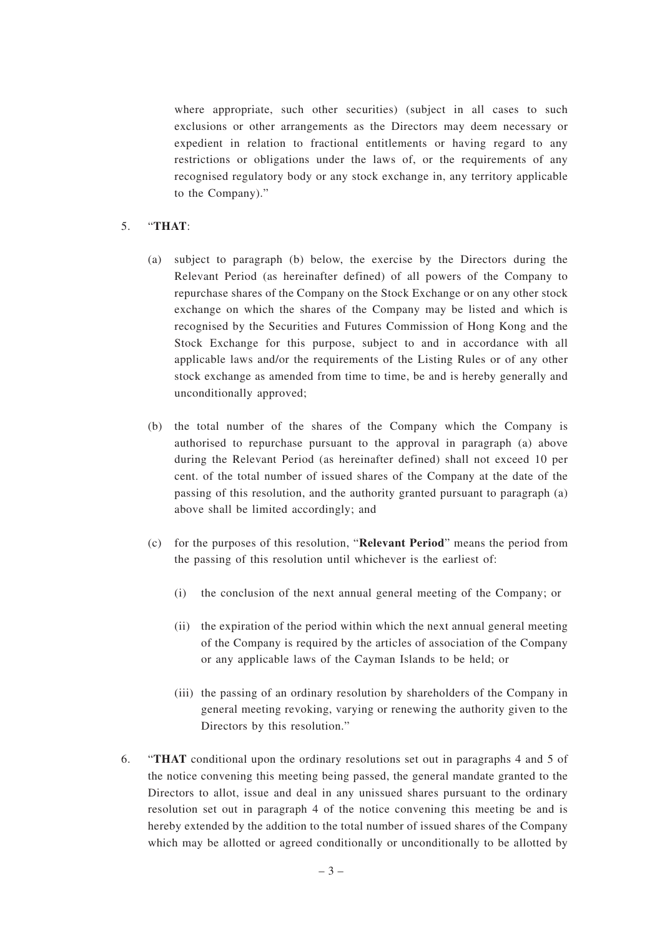where appropriate, such other securities) (subject in all cases to such exclusions or other arrangements as the Directors may deem necessary or expedient in relation to fractional entitlements or having regard to any restrictions or obligations under the laws of, or the requirements of any recognised regulatory body or any stock exchange in, any territory applicable to the Company)."

## 5. "**THAT**:

- (a) subject to paragraph (b) below, the exercise by the Directors during the Relevant Period (as hereinafter defined) of all powers of the Company to repurchase shares of the Company on the Stock Exchange or on any other stock exchange on which the shares of the Company may be listed and which is recognised by the Securities and Futures Commission of Hong Kong and the Stock Exchange for this purpose, subject to and in accordance with all applicable laws and/or the requirements of the Listing Rules or of any other stock exchange as amended from time to time, be and is hereby generally and unconditionally approved;
- (b) the total number of the shares of the Company which the Company is authorised to repurchase pursuant to the approval in paragraph (a) above during the Relevant Period (as hereinafter defined) shall not exceed 10 per cent. of the total number of issued shares of the Company at the date of the passing of this resolution, and the authority granted pursuant to paragraph (a) above shall be limited accordingly; and
- (c) for the purposes of this resolution, "**Relevant Period**" means the period from the passing of this resolution until whichever is the earliest of:
	- (i) the conclusion of the next annual general meeting of the Company; or
	- (ii) the expiration of the period within which the next annual general meeting of the Company is required by the articles of association of the Company or any applicable laws of the Cayman Islands to be held; or
	- (iii) the passing of an ordinary resolution by shareholders of the Company in general meeting revoking, varying or renewing the authority given to the Directors by this resolution."
- 6. "**THAT** conditional upon the ordinary resolutions set out in paragraphs 4 and 5 of the notice convening this meeting being passed, the general mandate granted to the Directors to allot, issue and deal in any unissued shares pursuant to the ordinary resolution set out in paragraph 4 of the notice convening this meeting be and is hereby extended by the addition to the total number of issued shares of the Company which may be allotted or agreed conditionally or unconditionally to be allotted by